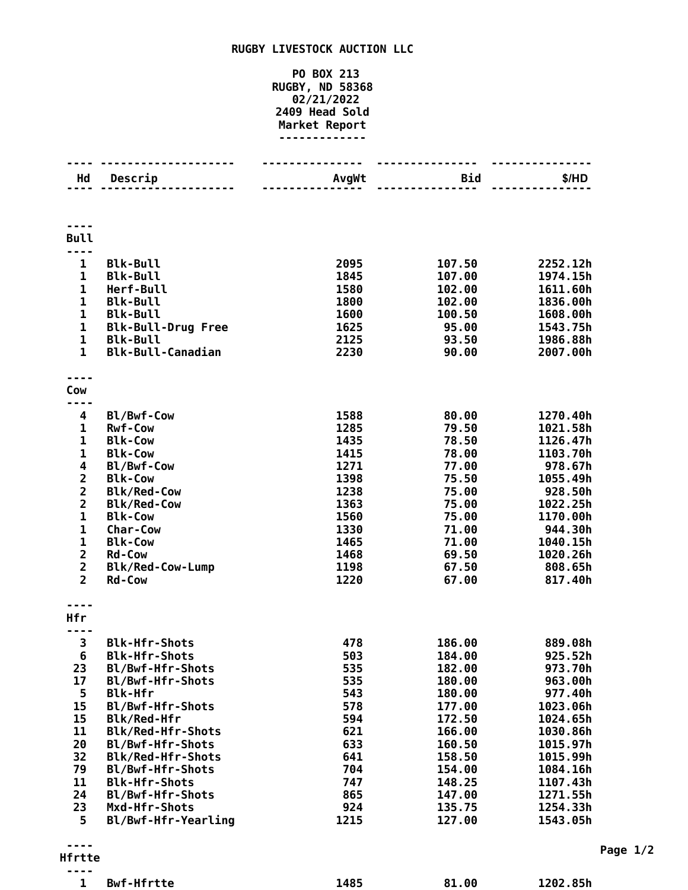## **RUGBY LIVESTOCK AUCTION LLC**

## **PO BOX 213 RUGBY, ND 58368 02/21/2022 Head Sold Market Report -------------**

| Hd                           | Descrip                                  | AvgWt        | <b>Bid</b>       | \$/HD                |
|------------------------------|------------------------------------------|--------------|------------------|----------------------|
|                              |                                          |              |                  |                      |
|                              |                                          |              |                  |                      |
|                              |                                          |              |                  |                      |
| <b>Bull</b>                  |                                          |              |                  |                      |
|                              |                                          |              |                  |                      |
| $\mathbf{1}$                 | <b>Blk-Bull</b>                          | 2095         | 107.50           | 2252.12h             |
| $\mathbf{1}$                 | <b>Blk-Bull</b>                          | 1845         | 107.00           | 1974.15h             |
| $\mathbf{1}$                 | Herf-Bull                                | 1580         | 102.00           | 1611.60h             |
| $\mathbf{1}$                 | <b>Blk-Bull</b>                          | 1800         | 102.00           | 1836.00h             |
| $\mathbf{1}$                 | <b>Blk-Bull</b>                          | 1600         | 100.50           | 1608.00h             |
| $\mathbf 1$                  | <b>Blk-Bull-Drug Free</b>                | 1625         | 95.00            | 1543.75h             |
| $\mathbf{1}$                 | <b>Blk-Bull</b>                          | 2125         | 93.50            | 1986.88h             |
| $\mathbf{1}$                 | <b>Blk-Bull-Canadian</b>                 | 2230         | 90.00            | 2007.00h             |
|                              |                                          |              |                  |                      |
|                              |                                          |              |                  |                      |
| Cow                          |                                          |              |                  |                      |
|                              |                                          |              |                  |                      |
| 4                            | Bl/Bwf-Cow                               | 1588         | 80.00            | 1270.40h             |
| 1                            | <b>Rwf-Cow</b>                           | 1285         | 79.50            | 1021.58h             |
| $\mathbf{1}$<br>$\mathbf{1}$ | <b>Blk-Cow</b>                           | 1435         | 78.50            | 1126.47h             |
| 4                            | <b>Blk-Cow</b><br>Bl/Bwf-Cow             | 1415<br>1271 | 78.00            | 1103.70h<br>978.67h  |
|                              | <b>Blk-Cow</b>                           | 1398         | 77.00<br>75.50   | 1055.49h             |
| $\frac{2}{2}$                | <b>Blk/Red-Cow</b>                       | 1238         | 75.00            | 928.50h              |
| $\overline{\mathbf{2}}$      | <b>Blk/Red-Cow</b>                       | 1363         | 75.00            | 1022.25h             |
| $\mathbf{1}$                 | <b>Blk-Cow</b>                           | 1560         | 75.00            | 1170.00h             |
| 1                            | Char-Cow                                 | 1330         | 71.00            | 944.30h              |
| $\mathbf{1}$                 | <b>Blk-Cow</b>                           | 1465         | 71.00            | 1040.15h             |
| $\overline{\mathbf{c}}$      | <b>Rd-Cow</b>                            | 1468         | 69.50            | 1020.26h             |
| $\overline{\mathbf{c}}$      | <b>Blk/Red-Cow-Lump</b>                  | 1198         | 67.50            | 808.65h              |
| $\overline{2}$               | <b>Rd-Cow</b>                            | 1220         | 67.00            | 817.40h              |
|                              |                                          |              |                  |                      |
|                              |                                          |              |                  |                      |
| Hfr                          |                                          |              |                  |                      |
|                              |                                          |              |                  |                      |
| 3                            | <b>Blk-Hfr-Shots</b>                     | 478          | 186.00           | 889.08h              |
| 6                            | <b>Blk-Hfr-Shots</b>                     | 503          | 184.00           | 925.52h              |
| 23                           | Bl/Bwf-Hfr-Shots                         | 535          | 182.00           | 973.70h              |
| 17                           | Bl/Bwf-Hfr-Shots                         | 535          | 180.00           | 963.00h              |
| 5                            | <b>Blk-Hfr</b>                           | 543          | 180.00           | 977.40h              |
| 15                           | Bl/Bwf-Hfr-Shots                         | 578          | 177.00           | 1023.06h             |
| 15                           | Blk/Red-Hfr                              | 594          | 172.50           | 1024.65h             |
| 11                           | <b>Blk/Red-Hfr-Shots</b>                 | 621          | 166.00           | 1030.86h             |
| 20                           | Bl/Bwf-Hfr-Shots                         | 633          | 160.50           | 1015.97h             |
| 32                           | <b>Blk/Red-Hfr-Shots</b>                 | 641          | 158.50           | 1015.99h             |
| 79<br>11                     | Bl/Bwf-Hfr-Shots<br><b>Blk-Hfr-Shots</b> | 704<br>747   | 154.00<br>148.25 | 1084.16h             |
| 24                           | Bl/Bwf-Hfr-Shots                         | 865          | 147.00           | 1107.43h<br>1271.55h |
| 23                           | Mxd-Hfr-Shots                            | 924          | 135.75           | 1254.33h             |
| 5                            | Bl/Bwf-Hfr-Yearling                      | 1215         | 127.00           | 1543.05h             |
|                              |                                          |              |                  |                      |
|                              |                                          |              |                  |                      |
| Hfrtte                       |                                          |              |                  |                      |
| ----                         |                                          |              |                  |                      |

**Bwf-Hfrtte 1485 81.00 1202.85h**

**Page 1/2**